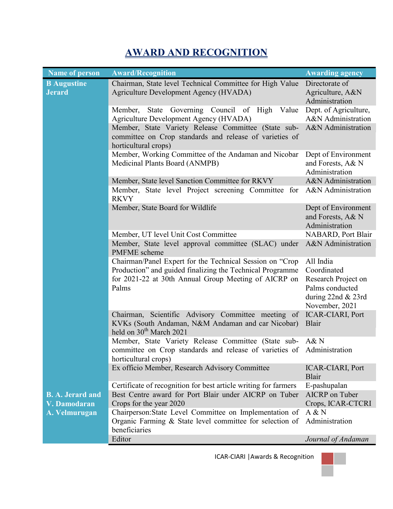## **AWARD AND RECOGNITION**

| <b>Name of person</b>               | <b>Award/Recognition</b>                                                                                                                                                               | <b>Awarding agency</b>                                                                                     |
|-------------------------------------|----------------------------------------------------------------------------------------------------------------------------------------------------------------------------------------|------------------------------------------------------------------------------------------------------------|
| <b>B</b> Augustine<br><b>Jerard</b> | Chairman, State level Technical Committee for High Value<br>Agriculture Development Agency (HVADA)                                                                                     | Directorate of<br>Agriculture, A&N<br>Administration                                                       |
|                                     | Governing Council of High<br>Member,<br>State<br>Value<br><b>Agriculture Development Agency (HVADA)</b>                                                                                | Dept. of Agriculture,<br>A&N Administration                                                                |
|                                     | Member, State Variety Release Committee (State sub-<br>committee on Crop standards and release of varieties of<br>horticultural crops)                                                 | A&N Administration                                                                                         |
|                                     | Member, Working Committee of the Andaman and Nicobar<br>Medicinal Plants Board (ANMPB)                                                                                                 | Dept of Environment<br>and Forests, A& N<br>Administration                                                 |
|                                     | Member, State level Sanction Committee for RKVY<br>Member, State level Project screening Committee for<br><b>RKVY</b>                                                                  | A&N Administration<br>A&N Administration                                                                   |
|                                     | Member, State Board for Wildlife                                                                                                                                                       | Dept of Environment<br>and Forests, A& N<br>Administration                                                 |
|                                     | Member, UT level Unit Cost Committee<br>Member, State level approval committee (SLAC) under<br><b>PMFME</b> scheme                                                                     | NABARD, Port Blair<br>A&N Administration                                                                   |
|                                     | Chairman/Panel Expert for the Technical Session on "Crop<br>Production" and guided finalizing the Technical Programme<br>for 2021-22 at 30th Annual Group Meeting of AICRP on<br>Palms | All India<br>Coordinated<br>Research Project on<br>Palms conducted<br>during 22nd & 23rd<br>November, 2021 |
|                                     | Chairman, Scientific Advisory Committee meeting of<br>KVKs (South Andaman, N&M Andaman and car Nicobar)<br>held on $30th$ March 2021                                                   | ICAR-CIARI, Port<br><b>Blair</b>                                                                           |
|                                     | Member, State Variety Release Committee (State sub-<br>committee on Crop standards and release of varieties of<br>horticultural crops)                                                 | A&N<br>Administration                                                                                      |
|                                     | Ex officio Member, Research Advisory Committee                                                                                                                                         | <b>ICAR-CIARI, Port</b><br>Blair                                                                           |
|                                     | Certificate of recognition for best article writing for farmers                                                                                                                        | E-pashupalan                                                                                               |
| <b>B. A. Jerard and</b>             | Best Centre award for Port Blair under AICRP on Tuber                                                                                                                                  | AICRP on Tuber                                                                                             |
| V. Damodaran                        | Crops for the year 2020                                                                                                                                                                | Crops, ICAR-CTCRI                                                                                          |
| A. Velmurugan                       | Chairperson: State Level Committee on Implementation of<br>Organic Farming $\&$ State level committee for selection of<br>beneficiaries                                                | A & N<br>Administration                                                                                    |
|                                     | Editor                                                                                                                                                                                 | Journal of Andaman                                                                                         |

ICAR-CIARI |Awards & Recognition